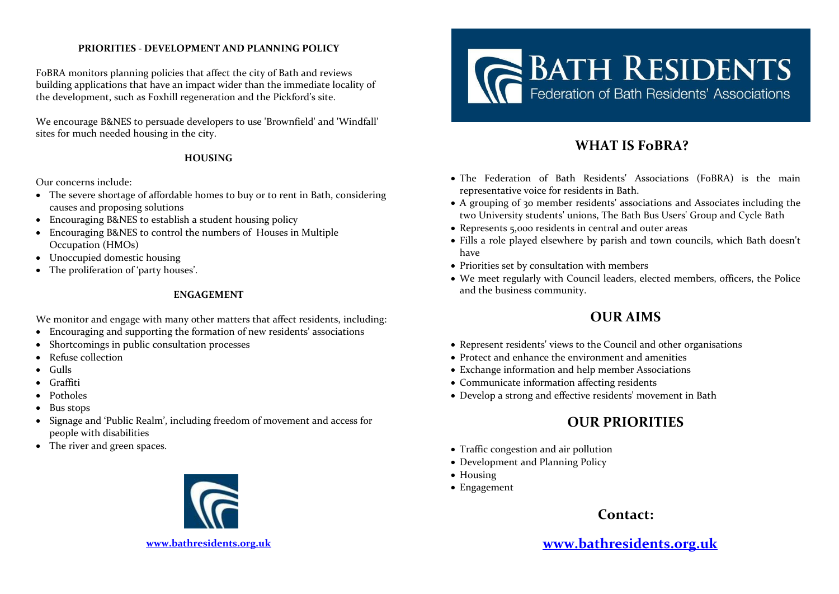### **PRIORITIES - DEVELOPMENT AND PLANNING POLICY**

FoBRA monitors planning policies that affect the city of Bath and reviews building applications that have an impact wider than the immediate locality of the development, such as Foxhill regeneration and the Pickford's site.

We encourage B&NES to persuade developers to use 'Brownfield' and 'Windfall' sites for much needed housing in the city.

#### **HOUSING**

Our concerns include:

- The severe shortage of affordable homes to buy or to rent in Bath, considering causes and proposing solutions
- Encouraging B&NES to establish a student housing policy
- Encouraging B&NES to control the numbers of Houses in Multiple Occupation (HMOs)
- Unoccupied domestic housing
- The proliferation of 'party houses'.

### **ENGAGEMENT**

We monitor and engage with many other matters that affect residents, including:

- Encouraging and supporting the formation of new residents' associations
- Shortcomings in public consultation processes
- Refuse collection
- Gulls
- Graffiti
- Potholes
- Bus stops
- Signage and 'Public Realm', including freedom of movement and access for people with disabilities
- The river and green spaces.





# **WHAT IS FoBRA?**

- The Federation of Bath Residents' Associations (FoBRA) is the main representative voice for residents in Bath.
- A grouping of 30 member residents' associations and Associates including the two University students' unions, The Bath Bus Users' Group and Cycle Bath
- Represents 5,000 residents in central and outer areas
- Fills a role played elsewhere by parish and town councils, which Bath doesn't have
- Priorities set by consultation with members
- We meet regularly with Council leaders, elected members, officers, the Police and the business community.

## **OUR AIMS**

- Represent residents' views to the Council and other organisations
- Protect and enhance the environment and amenities
- Exchange information and help member Associations
- Communicate information affecting residents
- Develop a strong and effective residents' movement in Bath

## **OUR PRIORITIES**

- Traffic congestion and air pollution
- Development and Planning Policy
- Housing
- Engagement

## **Contact:**

**[www.bathresidents.org.uk](http://www.bathresidents.org.uk/)**